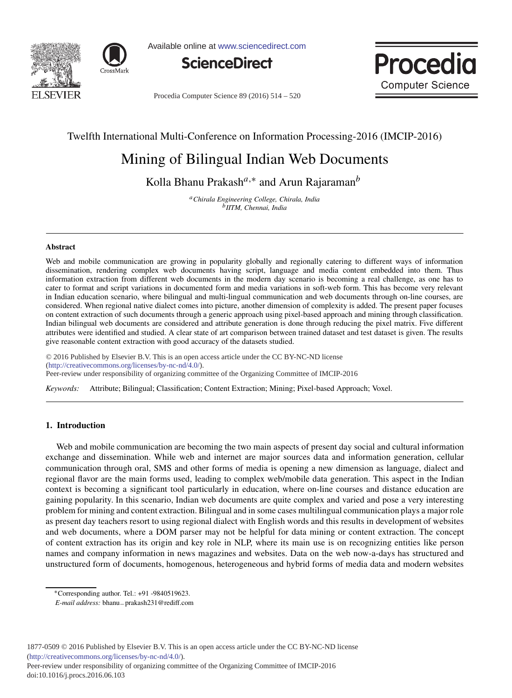



Available online at www.sciencedirect.com





Procedia Computer Science 89 (2016) 514 - 520

## Twelfth International Multi-Conference on Information Processing-2016 (IMCIP-2016)

# Mining of Bilingual Indian Web Documents

Kolla Bhanu Prakash*a*,<sup>∗</sup> and Arun Rajaraman*<sup>b</sup>*

*aChirala Engineering College, Chirala, India bIITM, Chennai, India*

#### **Abstract**

Web and mobile communication are growing in popularity globally and regionally catering to different ways of information dissemination, rendering complex web documents having script, language and media content embedded into them. Thus information extraction from different web documents in the modern day scenario is becoming a real challenge, as one has to cater to format and script variations in documented form and media variations in soft-web form. This has become very relevant in Indian education scenario, where bilingual and multi-lingual communication and web documents through on-line courses, are considered. When regional native dialect comes into picture, another dimension of complexity is added. The present paper focuses on content extraction of such documents through a generic approach using pixel-based approach and mining through classification. Indian bilingual web documents are considered and attribute generation is done through reducing the pixel matrix. Five different attributes were identified and studied. A clear state of art comparison between trained dataset and test dataset is given. The results give reasonable content extraction with good accuracy of the datasets studied.

 $@ 2016 \text{D} 11111 \text{F1}$  Published by  $\text{F1}$ © 2016 Published by Elsevier B.V. This is an open access article under the CC BY-NC-ND license<br> $(http://arstiv.org/merus.org/liz.org/carus.org/100)$ Processing-2016 (IMCIP-2016). Peer-review under responsibility of organizing committee of the Organizing Committee of IMCIP-2016(http://creativecommons.org/licenses/by-nc-nd/4.0/).

*Keywords:* Attribute; Bilingual; Classification; Content Extraction; Mining; Pixel-based Approach; Voxel.

## **1. Introduction**

Web and mobile communication are becoming the two main aspects of present day social and cultural information exchange and dissemination. While web and internet are major sources data and information generation, cellular communication through oral, SMS and other forms of media is opening a new dimension as language, dialect and regional flavor are the main forms used, leading to complex web/mobile data generation. This aspect in the Indian context is becoming a significant tool particularly in education, where on-line courses and distance education are gaining popularity. In this scenario, Indian web documents are quite complex and varied and pose a very interesting problem for mining and content extraction. Bilingual and in some cases multilingual communication plays a major role as present day teachers resort to using regional dialect with English words and this results in development of websites and web documents, where a DOM parser may not be helpful for data mining or content extraction. The concept of content extraction has its origin and key role in NLP, where its main use is on recognizing entities like person names and company information in news magazines and websites. Data on the web now-a-days has structured and unstructured form of documents, homogenous, heterogeneous and hybrid forms of media data and modern websites

Peer-review under responsibility of organizing committee of the Organizing Committee of IMCIP-2016 doi: 10.1016/j.procs.2016.06.103

<sup>∗</sup>Corresponding author. Tel.: +91 -9840519623.

*E-mail address:* bhanu−prakash231@rediff.com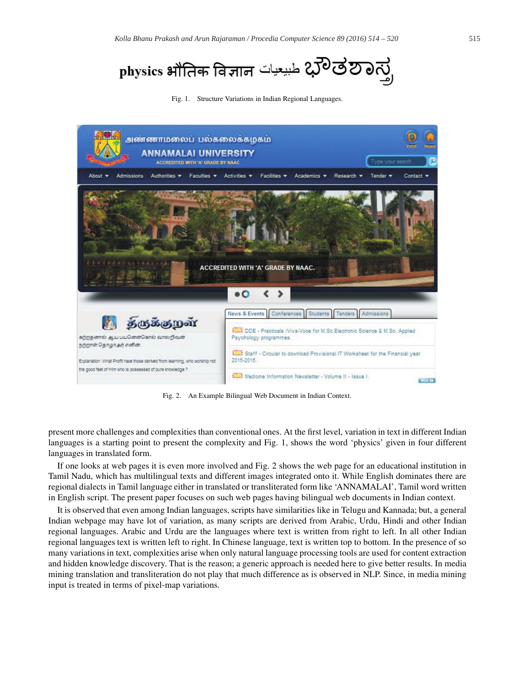physics भौतिक विज्ञान طبیعیات 200

Fig. 1. Structure Variations in Indian Regional Languages.



Fig. 2. An Example Bilingual Web Document in Indian Context.

present more challenges and complexities than conventional ones. At the first level, variation in text in different Indian languages is a starting point to present the complexity and Fig. 1, shows the word 'physics' given in four different languages in translated form.

If one looks at web pages it is even more involved and Fig. 2 shows the web page for an educational institution in Tamil Nadu, which has multilingual texts and different images integrated onto it. While English dominates there are regional dialects in Tamil language either in translated or transliterated form like 'ANNAMALAI', Tamil word written in English script. The present paper focuses on such web pages having bilingual web documents in Indian context.

It is observed that even among Indian languages, scripts have similarities like in Telugu and Kannada; but, a general Indian webpage may have lot of variation, as many scripts are derived from Arabic, Urdu, Hindi and other Indian regional languages. Arabic and Urdu are the languages where text is written from right to left. In all other Indian regional languages text is written left to right. In Chinese language, text is written top to bottom. In the presence of so many variations in text, complexities arise when only natural language processing tools are used for content extraction and hidden knowledge discovery. That is the reason; a generic approach is needed here to give better results. In media mining translation and transliteration do not play that much difference as is observed in NLP. Since, in media mining input is treated in terms of pixel-map variations.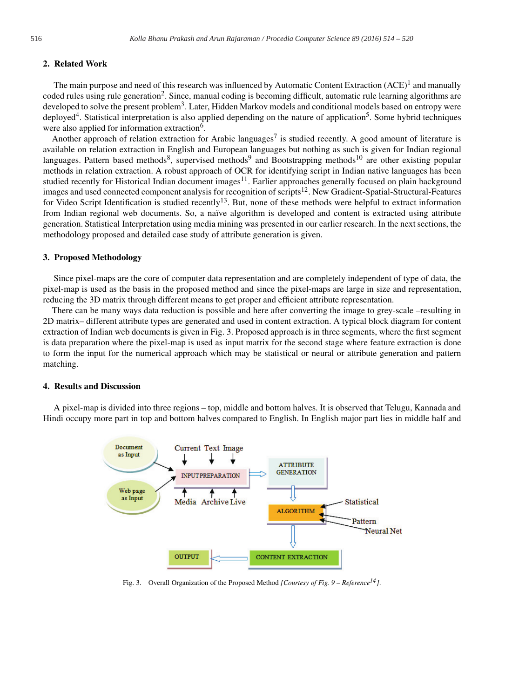## **2. Related Work**

The main purpose and need of this research was influenced by Automatic Content Extraction  $(ACE)^1$  and manually coded rules using rule generation<sup>2</sup>. Since, manual coding is becoming difficult, automatic rule learning algorithms are developed to solve the present problem<sup>3</sup>. Later, Hidden Markov models and conditional models based on entropy were deployed<sup>4</sup>. Statistical interpretation is also applied depending on the nature of application<sup>5</sup>. Some hybrid techniques were also applied for information extraction<sup>6</sup>.

Another approach of relation extraction for Arabic languages<sup>7</sup> is studied recently. A good amount of literature is available on relation extraction in English and European languages but nothing as such is given for Indian regional languages. Pattern based methods<sup>8</sup>, supervised methods<sup>9</sup> and Bootstrapping methods<sup>10</sup> are other existing popular methods in relation extraction. A robust approach of OCR for identifying script in Indian native languages has been studied recently for Historical Indian document images<sup>11</sup>. Earlier approaches generally focused on plain background images and used connected component analysis for recognition of scripts<sup>12</sup>. New Gradient-Spatial-Structural-Features for Video Script Identification is studied recently<sup>13</sup>. But, none of these methods were helpful to extract information from Indian regional web documents. So, a naïve algorithm is developed and content is extracted using attribute generation. Statistical Interpretation using media mining was presented in our earlier research. In the next sections, the methodology proposed and detailed case study of attribute generation is given.

#### **3. Proposed Methodology**

Since pixel-maps are the core of computer data representation and are completely independent of type of data, the pixel-map is used as the basis in the proposed method and since the pixel-maps are large in size and representation, reducing the 3D matrix through different means to get proper and efficient attribute representation.

There can be many ways data reduction is possible and here after converting the image to grey-scale –resulting in 2D matrix– different attribute types are generated and used in content extraction. A typical block diagram for content extraction of Indian web documents is given in Fig. 3. Proposed approach is in three segments, where the first segment is data preparation where the pixel-map is used as input matrix for the second stage where feature extraction is done to form the input for the numerical approach which may be statistical or neural or attribute generation and pattern matching.

## **4. Results and Discussion**

A pixel-map is divided into three regions – top, middle and bottom halves. It is observed that Telugu, Kannada and Hindi occupy more part in top and bottom halves compared to English. In English major part lies in middle half and



Fig. 3. Overall Organization of the Proposed Method *[Courtesy of Fig. 9 – Reference14]*.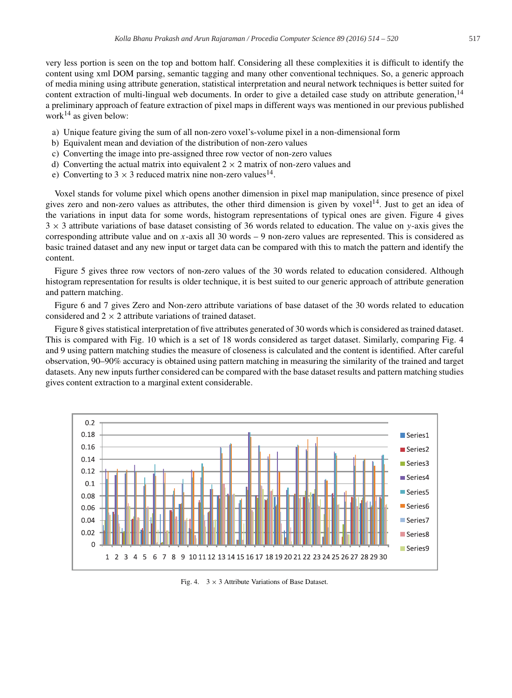very less portion is seen on the top and bottom half. Considering all these complexities it is difficult to identify the content using xml DOM parsing, semantic tagging and many other conventional techniques. So, a generic approach of media mining using attribute generation, statistical interpretation and neural network techniques is better suited for content extraction of multi-lingual web documents. In order to give a detailed case study on attribute generation,  $14$ a preliminary approach of feature extraction of pixel maps in different ways was mentioned in our previous published work<sup>14</sup> as given below:

- a) Unique feature giving the sum of all non-zero voxel's-volume pixel in a non-dimensional form
- b) Equivalent mean and deviation of the distribution of non-zero values
- c) Converting the image into pre-assigned three row vector of non-zero values
- d) Converting the actual matrix into equivalent  $2 \times 2$  matrix of non-zero values and
- e) Converting to  $3 \times 3$  reduced matrix nine non-zero values<sup>14</sup>.

Voxel stands for volume pixel which opens another dimension in pixel map manipulation, since presence of pixel gives zero and non-zero values as attributes, the other third dimension is given by voxel<sup>14</sup>. Just to get an idea of the variations in input data for some words, histogram representations of typical ones are given. Figure 4 gives 3 × 3 attribute variations of base dataset consisting of 36 words related to education. The value on *y*-axis gives the corresponding attribute value and on *x*-axis all 30 words – 9 non-zero values are represented. This is considered as basic trained dataset and any new input or target data can be compared with this to match the pattern and identify the content.

Figure 5 gives three row vectors of non-zero values of the 30 words related to education considered. Although histogram representation for results is older technique, it is best suited to our generic approach of attribute generation and pattern matching.

Figure 6 and 7 gives Zero and Non-zero attribute variations of base dataset of the 30 words related to education considered and  $2 \times 2$  attribute variations of trained dataset.

Figure 8 gives statistical interpretation of five attributes generated of 30 words which is considered as trained dataset. This is compared with Fig. 10 which is a set of 18 words considered as target dataset. Similarly, comparing Fig. 4 and 9 using pattern matching studies the measure of closeness is calculated and the content is identified. After careful observation, 90–90% accuracy is obtained using pattern matching in measuring the similarity of the trained and target datasets. Any new inputs further considered can be compared with the base dataset results and pattern matching studies gives content extraction to a marginal extent considerable.



Fig. 4.  $3 \times 3$  Attribute Variations of Base Dataset.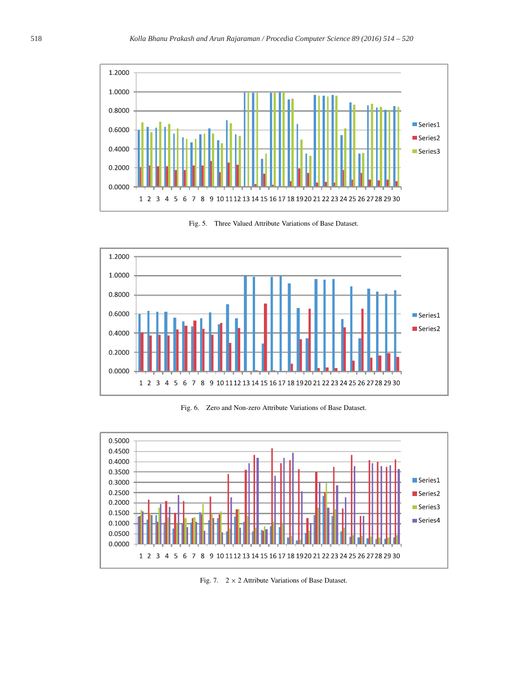



Fig. 5. Three Valued Attribute Variations of Base Dataset.

Fig. 6. Zero and Non-zero Attribute Variations of Base Dataset.



Fig. 7.  $2 \times 2$  Attribute Variations of Base Dataset.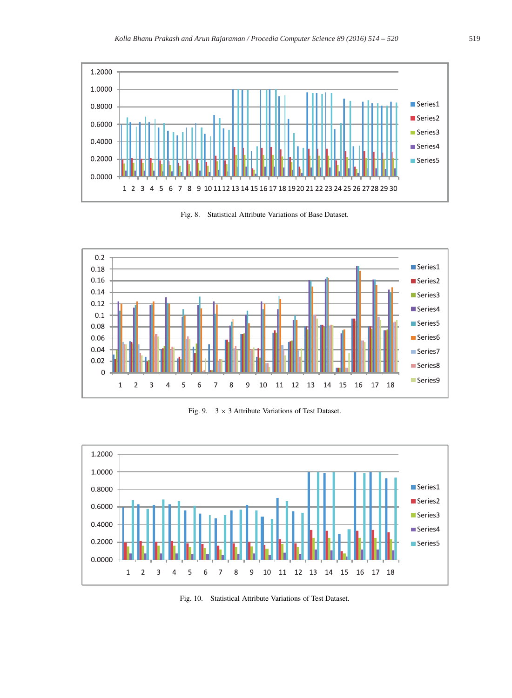

Fig. 8. Statistical Attribute Variations of Base Dataset.



Fig. 9.  $3 \times 3$  Attribute Variations of Test Dataset.



Fig. 10. Statistical Attribute Variations of Test Dataset.